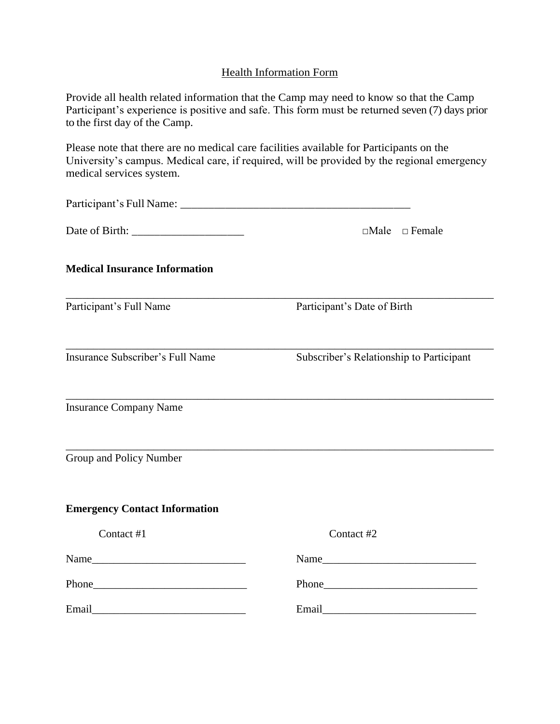## Health Information Form

| Provide all health related information that the Camp may need to know so that the Camp         |
|------------------------------------------------------------------------------------------------|
| Participant's experience is positive and safe. This form must be returned seven (7) days prior |
| to the first day of the Camp.                                                                  |

Please note that there are no medical care facilities available for Participants on the University's campus. Medical care, if required, will be provided by the regional emergency medical services system.

|                                                                                                                | $\Box$ Male $\Box$ Female                |
|----------------------------------------------------------------------------------------------------------------|------------------------------------------|
| <b>Medical Insurance Information</b>                                                                           |                                          |
| Participant's Full Name                                                                                        | Participant's Date of Birth              |
| Insurance Subscriber's Full Name                                                                               | Subscriber's Relationship to Participant |
| <b>Insurance Company Name</b>                                                                                  |                                          |
| Group and Policy Number                                                                                        |                                          |
| <b>Emergency Contact Information</b>                                                                           |                                          |
| Contact #1                                                                                                     | Contact #2                               |
|                                                                                                                |                                          |
|                                                                                                                |                                          |
| Email 2008 - 2008 - 2010 - 2010 - 2010 - 2010 - 2010 - 2010 - 2010 - 2010 - 2010 - 2010 - 2010 - 2010 - 2010 - |                                          |